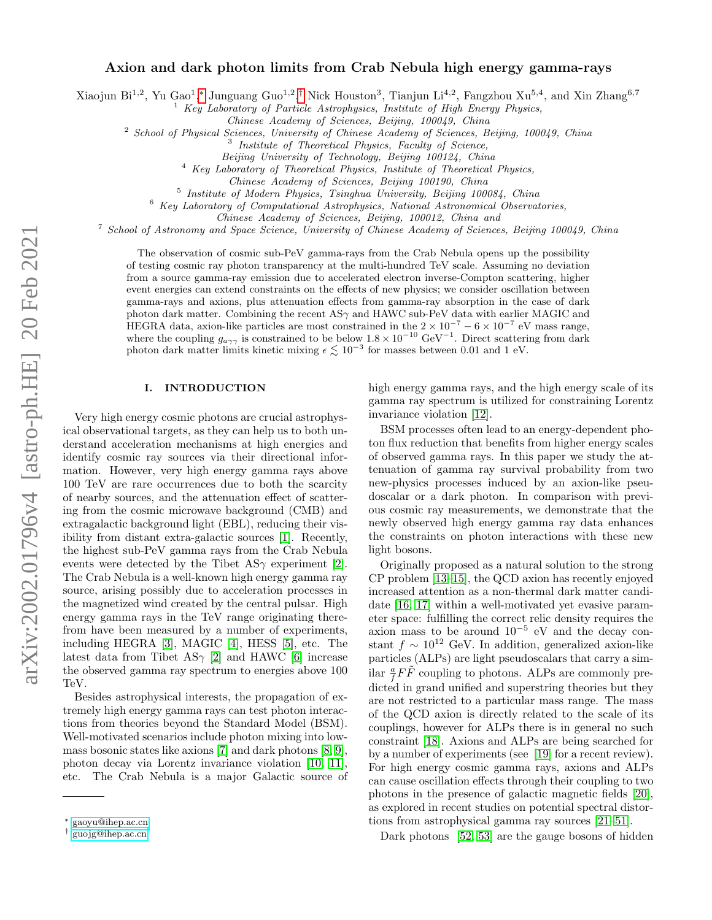# Axion and dark photon limits from Crab Nebula high energy gamma-rays

Xiaojun Bi<sup>1,2</sup>, Yu Gao<sup>1</sup>,\* Junguang Guo<sup>1,2</sup>,<sup>[†](#page-0-1)</sup> Nick Houston<sup>3</sup>, Tianjun Li<sup>4,2</sup>, Fangzhou Xu<sup>5,4</sup>, and Xin Zhang<sup>6,7</sup>

<sup>1</sup> Key Laboratory of Particle Astrophysics, Institute of High Energy Physics,

Chinese Academy of Sciences, Beijing, 100049, China

<sup>2</sup> School of Physical Sciences, University of Chinese Academy of Sciences, Beijing, 100049, China

<sup>3</sup> Institute of Theoretical Physics, Faculty of Science,

Beijing University of Technology, Beijing 100124, China

 $4$  Key Laboratory of Theoretical Physics, Institute of Theoretical Physics,

<sup>5</sup> Institute of Modern Physics, Tsinghua University, Beijing 100084, China

 $6$  Key Laboratory of Computational Astrophysics, National Astronomical Observatories,

Chinese Academy of Sciences, Beijing, 100012, China and

<sup>7</sup> School of Astronomy and Space Science, University of Chinese Academy of Sciences, Beijing 100049, China

The observation of cosmic sub-PeV gamma-rays from the Crab Nebula opens up the possibility of testing cosmic ray photon transparency at the multi-hundred TeV scale. Assuming no deviation from a source gamma-ray emission due to accelerated electron inverse-Compton scattering, higher event energies can extend constraints on the effects of new physics; we consider oscillation between gamma-rays and axions, plus attenuation effects from gamma-ray absorption in the case of dark photon dark matter. Combining the recent  $AS\gamma$  and HAWC sub-PeV data with earlier MAGIC and HEGRA data, axion-like particles are most constrained in the  $2 \times 10^{-7} - 6 \times 10^{-7}$  eV mass range, where the coupling  $g_{a\gamma\gamma}$  is constrained to be below  $1.8 \times 10^{-10}$  GeV<sup>-1</sup>. Direct scattering from dark photon dark matter limits kinetic mixing  $\epsilon \lesssim 10^{-3}$  for masses between 0.01 and 1 eV.

## I. INTRODUCTION

Very high energy cosmic photons are crucial astrophysical observational targets, as they can help us to both understand acceleration mechanisms at high energies and identify cosmic ray sources via their directional information. However, very high energy gamma rays above 100 TeV are rare occurrences due to both the scarcity of nearby sources, and the attenuation effect of scattering from the cosmic microwave background (CMB) and extragalactic background light (EBL), reducing their visibility from distant extra-galactic sources [\[1\]](#page-4-0). Recently, the highest sub-PeV gamma rays from the Crab Nebula events were detected by the Tibet  $AS\gamma$  experiment [\[2\]](#page-4-1). The Crab Nebula is a well-known high energy gamma ray source, arising possibly due to acceleration processes in the magnetized wind created by the central pulsar. High energy gamma rays in the TeV range originating therefrom have been measured by a number of experiments, including HEGRA [\[3\]](#page-4-2), MAGIC [\[4\]](#page-5-0), HESS [\[5\]](#page-5-1), etc. The latest data from Tibet AS $\gamma$  [\[2\]](#page-4-1) and HAWC [\[6\]](#page-5-2) increase the observed gamma ray spectrum to energies above 100 TeV.

Besides astrophysical interests, the propagation of extremely high energy gamma rays can test photon interactions from theories beyond the Standard Model (BSM). Well-motivated scenarios include photon mixing into lowmass bosonic states like axions [\[7\]](#page-5-3) and dark photons [\[8,](#page-5-4) [9\]](#page-5-5), photon decay via Lorentz invariance violation [\[10,](#page-5-6) [11\]](#page-5-7), etc. The Crab Nebula is a major Galactic source of high energy gamma rays, and the high energy scale of its gamma ray spectrum is utilized for constraining Lorentz invariance violation [\[12\]](#page-5-8).

BSM processes often lead to an energy-dependent photon flux reduction that benefits from higher energy scales of observed gamma rays. In this paper we study the attenuation of gamma ray survival probability from two new-physics processes induced by an axion-like pseudoscalar or a dark photon. In comparison with previous cosmic ray measurements, we demonstrate that the newly observed high energy gamma ray data enhances the constraints on photon interactions with these new light bosons.

Originally proposed as a natural solution to the strong CP problem [\[13](#page-5-9)[–15\]](#page-5-10), the QCD axion has recently enjoyed increased attention as a non-thermal dark matter candidate [\[16,](#page-5-11) [17\]](#page-5-12) within a well-motivated yet evasive parameter space: fulfilling the correct relic density requires the axion mass to be around  $10^{-5}$  eV and the decay constant  $f \sim 10^{12}$  GeV. In addition, generalized axion-like particles (ALPs) are light pseudoscalars that carry a similar  $\frac{a}{f}F\tilde{F}$  coupling to photons. ALPs are commonly predicted in grand unified and superstring theories but they are not restricted to a particular mass range. The mass of the QCD axion is directly related to the scale of its couplings, however for ALPs there is in general no such constraint [\[18\]](#page-5-13). Axions and ALPs are being searched for by a number of experiments (see [\[19\]](#page-5-14) for a recent review). For high energy cosmic gamma rays, axions and ALPs can cause oscillation effects through their coupling to two photons in the presence of galactic magnetic fields [\[20\]](#page-5-15), as explored in recent studies on potential spectral distortions from astrophysical gamma ray sources [\[21–](#page-5-16)[51\]](#page-6-0).

Dark photons [\[52,](#page-6-1) [53\]](#page-6-2) are the gauge bosons of hidden

Chinese Academy of Sciences, Beijing 100190, China

<span id="page-0-0"></span><sup>∗</sup> [gaoyu@ihep.ac.cn](mailto:gaoyu@ihep.ac.cn)

<span id="page-0-1"></span><sup>†</sup> [guojg@ihep.ac.cn](mailto:guojg@ihep.ac.cn)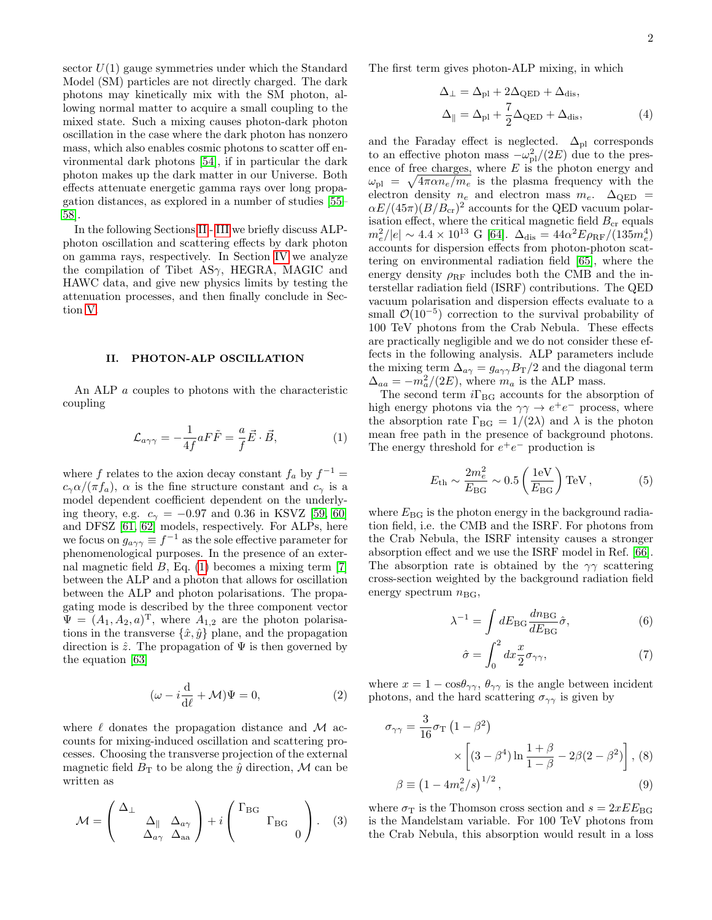sector  $U(1)$  gauge symmetries under which the Standard Model (SM) particles are not directly charged. The dark photons may kinetically mix with the SM photon, allowing normal matter to acquire a small coupling to the mixed state. Such a mixing causes photon-dark photon oscillation in the case where the dark photon has nonzero mass, which also enables cosmic photons to scatter off environmental dark photons [\[54\]](#page-6-3), if in particular the dark photon makes up the dark matter in our Universe. Both effects attenuate energetic gamma rays over long propagation distances, as explored in a number of studies [\[55–](#page-6-4) [58\]](#page-6-5).

In the following Sections [II](#page-1-0)- [III](#page-2-0) we briefly discuss ALPphoton oscillation and scattering effects by dark photon on gamma rays, respectively. In Section [IV](#page-2-1) we analyze the compilation of Tibet AS $\gamma$ , HEGRA, MAGIC and HAWC data, and give new physics limits by testing the attenuation processes, and then finally conclude in Section [V.](#page-4-3)

## <span id="page-1-0"></span>II. PHOTON-ALP OSCILLATION

An ALP a couples to photons with the characteristic coupling

<span id="page-1-1"></span>
$$
\mathcal{L}_{a\gamma\gamma} = -\frac{1}{4f} aF\tilde{F} = -\frac{a}{f}\vec{E} \cdot \vec{B},\tag{1}
$$

where f relates to the axion decay constant  $f_a$  by  $f^{-1} =$  $c_{\gamma} \alpha/(\pi f_a)$ ,  $\alpha$  is the fine structure constant and  $c_{\gamma}$  is a model dependent coefficient dependent on the underlying theory, e.g.  $c_{\gamma} = -0.97$  and 0.36 in KSVZ [\[59,](#page-6-6) [60\]](#page-6-7) and DFSZ [\[61,](#page-6-8) [62\]](#page-6-9) models, respectively. For ALPs, here we focus on  $g_{a\gamma\gamma} \equiv f^{-1}$  as the sole effective parameter for phenomenological purposes. In the presence of an external magnetic field  $B$ , Eq. [\(1\)](#page-1-1) becomes a mixing term [\[7\]](#page-5-3) between the ALP and a photon that allows for oscillation between the ALP and photon polarisations. The propagating mode is described by the three component vector  $\Psi = (A_1, A_2, a)^{\mathrm{T}}$ , where  $A_{1,2}$  are the photon polarisations in the transverse  $\{\hat{x}, \hat{y}\}\$  plane, and the propagation direction is  $\hat{z}$ . The propagation of  $\Psi$  is then governed by the equation [\[63\]](#page-6-10)

$$
(\omega - i\frac{\mathrm{d}}{\mathrm{d}\ell} + \mathcal{M})\Psi = 0,\tag{2}
$$

where  $\ell$  donates the propagation distance and M accounts for mixing-induced oscillation and scattering processes. Choosing the transverse projection of the external magnetic field  $B_T$  to be along the  $\hat{y}$  direction, M can be written as

$$
\mathcal{M} = \begin{pmatrix} \Delta_{\perp} & & \\ & \Delta_{\parallel} & \Delta_{a\gamma} \\ & \Delta_{a\gamma} & \Delta_{aa} \end{pmatrix} + i \begin{pmatrix} \Gamma_{BG} & \\ & \Gamma_{BG} \\ & & 0 \end{pmatrix} . \tag{3}
$$

The first term gives photon-ALP mixing, in which

$$
\Delta_{\perp} = \Delta_{\rm pl} + 2\Delta_{\rm QED} + \Delta_{\rm dis},
$$
  

$$
\Delta_{\parallel} = \Delta_{\rm pl} + \frac{7}{2}\Delta_{\rm QED} + \Delta_{\rm dis},
$$
 (4)

and the Faraday effect is neglected.  $\Delta_{\text{pl}}$  corresponds to an effective photon mass  $-\omega_{\text{pl}}^2/(2E)$  due to the presence of free charges, where  $E$  is the photon energy and  $\omega_{\rm pl} = \sqrt{4\pi\alpha n_e/m_e}$  is the plasma frequency with the electron density  $n_e$  and electron mass  $m_e$ .  $\Delta_{\text{QED}}$  =  $\alpha E/(45\pi)(B/B_{cr})^2$  accounts for the QED vacuum polarisation effect, where the critical magnetic field  $B_{cr}$  equals  $m_e^2/|e| \sim 4.4 \times 10^{13} \text{ G}$  [\[64\]](#page-6-11).  $\Delta_{\text{dis}} = 44\alpha^2 E \rho_{\text{RF}}/(135 m_e^4)$ accounts for dispersion effects from photon-photon scattering on environmental radiation field [\[65\]](#page-6-12), where the energy density  $\rho_{\textrm{RF}}$  includes both the CMB and the interstellar radiation field (ISRF) contributions. The QED vacuum polarisation and dispersion effects evaluate to a small  $\mathcal{O}(10^{-5})$  correction to the survival probability of 100 TeV photons from the Crab Nebula. These effects are practically negligible and we do not consider these effects in the following analysis. ALP parameters include the mixing term  $\Delta_{a\gamma} = g_{a\gamma\gamma} B_{\rm T}/2$  and the diagonal term  $\Delta_{aa} = -m_a^2/(2E)$ , where  $m_a$  is the ALP mass.

The second term  $i\Gamma_\mathrm{BG}$  accounts for the absorption of high energy photons via the  $\gamma\gamma \to e^+e^-$  process, where the absorption rate  $\Gamma_{BG} = 1/(2\lambda)$  and  $\lambda$  is the photon mean free path in the presence of background photons. The energy threshold for  $e^+e^-$  production is

$$
E_{\rm th} \sim \frac{2m_e^2}{E_{\rm BG}} \sim 0.5 \left(\frac{1 \text{eV}}{E_{\rm BG}}\right) \text{TeV},\tag{5}
$$

where  $E_{\text{BG}}$  is the photon energy in the background radiation field, i.e. the CMB and the ISRF. For photons from the Crab Nebula, the ISRF intensity causes a stronger absorption effect and we use the ISRF model in Ref. [\[66\]](#page-6-13). The absorption rate is obtained by the  $\gamma\gamma$  scattering cross-section weighted by the background radiation field energy spectrum  $n_{\text{BG}}$ ,

$$
\lambda^{-1} = \int dE_{\rm BG} \frac{dn_{\rm BG}}{dE_{\rm BG}} \hat{\sigma},\tag{6}
$$

$$
\hat{\sigma} = \int_0^2 dx \frac{x}{2} \sigma_{\gamma\gamma},\tag{7}
$$

where  $x = 1 - \cos\theta_{\gamma\gamma}, \theta_{\gamma\gamma}$  is the angle between incident photons, and the hard scattering  $\sigma_{\gamma\gamma}$  is given by

$$
\sigma_{\gamma\gamma} = \frac{3}{16}\sigma_{\text{T}} (1 - \beta^2)
$$
  
 
$$
\times \left[ (3 - \beta^4) \ln \frac{1 + \beta}{1 - \beta} - 2\beta(2 - \beta^2) \right], (8)
$$
  

$$
\beta \equiv (1 - 4m_e^2/s)^{1/2}, \tag{9}
$$

where  $\sigma_{\rm T}$  is the Thomson cross section and  $s = 2xEE_{\rm BG}$ is the Mandelstam variable. For 100 TeV photons from the Crab Nebula, this absorption would result in a loss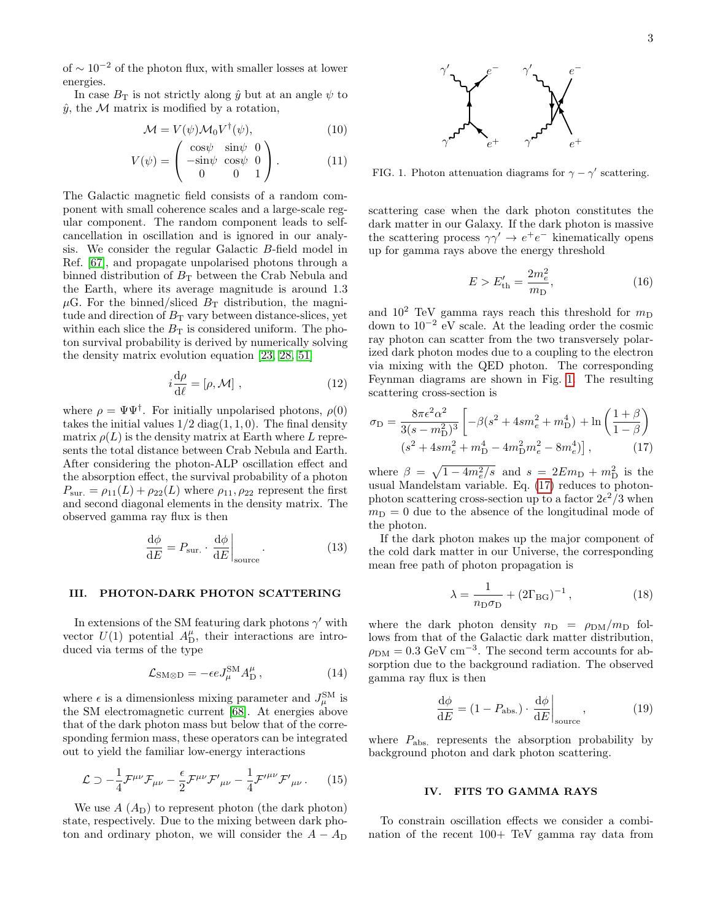of  $\sim 10^{-2}$  of the photon flux, with smaller losses at lower energies.

In case  $B_T$  is not strictly along  $\hat{y}$  but at an angle  $\psi$  to  $\hat{y}$ , the M matrix is modified by a rotation,

$$
\mathcal{M} = V(\psi)\mathcal{M}_0 V^{\dagger}(\psi), \tag{10}
$$

$$
V(\psi) = \begin{pmatrix} \cos\psi & \sin\psi & 0\\ -\sin\psi & \cos\psi & 0\\ 0 & 0 & 1 \end{pmatrix}.
$$
 (11)

The Galactic magnetic field consists of a random component with small coherence scales and a large-scale regular component. The random component leads to selfcancellation in oscillation and is ignored in our analysis. We consider the regular Galactic B-field model in Ref. [\[67\]](#page-6-14), and propagate unpolarised photons through a binned distribution of  $B_T$  between the Crab Nebula and the Earth, where its average magnitude is around 1.3  $\mu$ G. For the binned/sliced  $B_T$  distribution, the magnitude and direction of  $B<sub>T</sub>$  vary between distance-slices, yet within each slice the  $B_{\mathrm{T}}$  is considered uniform. The photon survival probability is derived by numerically solving the density matrix evolution equation [\[23,](#page-5-17) [28,](#page-5-18) [51\]](#page-6-0)

$$
i\frac{\mathrm{d}\rho}{\mathrm{d}\ell} = [\rho, \mathcal{M}] \;, \tag{12}
$$

where  $\rho = \Psi \Psi^{\dagger}$ . For initially unpolarised photons,  $\rho(0)$ takes the initial values  $1/2$  diag( $1, 1, 0$ ). The final density matrix  $\rho(L)$  is the density matrix at Earth where L represents the total distance between Crab Nebula and Earth. After considering the photon-ALP oscillation effect and the absorption effect, the survival probability of a photon  $P_{\text{sur.}} = \rho_{11}(L) + \rho_{22}(L)$  where  $\rho_{11}, \rho_{22}$  represent the first and second diagonal elements in the density matrix. The observed gamma ray flux is then

<span id="page-2-4"></span>
$$
\frac{\mathrm{d}\phi}{\mathrm{d}E} = P_{\text{sur.}} \cdot \frac{\mathrm{d}\phi}{\mathrm{d}E}\bigg|_{\text{source}}.\tag{13}
$$

## <span id="page-2-0"></span>III. PHOTON-DARK PHOTON SCATTERING

In extensions of the SM featuring dark photons  $\gamma'$  with vector  $U(1)$  potential  $A_{\text{D}}^{\mu}$ , their interactions are introduced via terms of the type

$$
\mathcal{L}_{\text{SM}\otimes\text{D}} = -\epsilon e J_{\mu}^{\text{SM}} A_{\text{D}}^{\mu} \,, \tag{14}
$$

where  $\epsilon$  is a dimensionless mixing parameter and  $J_{\mu}^{\text{SM}}$  is the SM electromagnetic current [\[68\]](#page-6-15). At energies above that of the dark photon mass but below that of the corresponding fermion mass, these operators can be integrated out to yield the familiar low-energy interactions

$$
\mathcal{L} \supset -\frac{1}{4} \mathcal{F}^{\mu\nu} \mathcal{F}_{\mu\nu} - \frac{\epsilon}{2} \mathcal{F}^{\mu\nu} \mathcal{F}'_{\mu\nu} - \frac{1}{4} \mathcal{F}'^{\mu\nu} \mathcal{F}'_{\mu\nu} . \tag{15}
$$

We use  $A(A_D)$  to represent photon (the dark photon) state, respectively. Due to the mixing between dark photon and ordinary photon, we will consider the  $A - A_D$ 



<span id="page-2-2"></span>FIG. 1. Photon attenuation diagrams for  $\gamma - \gamma'$  scattering.

scattering case when the dark photon constitutes the dark matter in our Galaxy. If the dark photon is massive the scattering process  $\gamma\gamma' \to e^+e^-$  kinematically opens up for gamma rays above the energy threshold

$$
E > E'_{\text{th}} = \frac{2m_e^2}{m_{\text{D}}},\tag{16}
$$

and  $10^2$  TeV gamma rays reach this threshold for  $m_D$ down to 10−<sup>2</sup> eV scale. At the leading order the cosmic ray photon can scatter from the two transversely polarized dark photon modes due to a coupling to the electron via mixing with the QED photon. The corresponding Feynman diagrams are shown in Fig. [1.](#page-2-2) The resulting scattering cross-section is

<span id="page-2-3"></span>
$$
\sigma_{\rm D} = \frac{8\pi\epsilon^2\alpha^2}{3(s - m_{\rm D}^2)^3} \left[ -\beta(s^2 + 4sm_e^2 + m_{\rm D}^4) + \ln\left(\frac{1+\beta}{1-\beta}\right) \right. \n(s^2 + 4sm_e^2 + m_{\rm D}^4 - 4m_{\rm D}^2m_e^2 - 8m_e^4) \right],
$$
\n(17)

where  $\beta = \sqrt{1 - 4m_e^2/s}$  and  $s = 2Em_D + m_D^2$  is the usual Mandelstam variable. Eq. [\(17\)](#page-2-3) reduces to photonphoton scattering cross-section up to a factor  $2\epsilon^2/3$  when  $m<sub>D</sub> = 0$  due to the absence of the longitudinal mode of the photon.

If the dark photon makes up the major component of the cold dark matter in our Universe, the corresponding mean free path of photon propagation is

$$
\lambda = \frac{1}{n_{\rm D}\sigma_{\rm D}} + (2\Gamma_{\rm BG})^{-1},\tag{18}
$$

where the dark photon density  $n_D = \rho_{DM}/m_D$  follows from that of the Galactic dark matter distribution,  $\rho_{\rm DM} = 0.3 \text{ GeV cm}^{-3}$ . The second term accounts for absorption due to the background radiation. The observed gamma ray flux is then

<span id="page-2-5"></span>
$$
\frac{\mathrm{d}\phi}{\mathrm{d}E} = (1 - P_{\text{abs.}}) \cdot \frac{\mathrm{d}\phi}{\mathrm{d}E}\bigg|_{\text{source}},\tag{19}
$$

where  $P_{\text{abs}}$  represents the absorption probability by background photon and dark photon scattering.

### <span id="page-2-1"></span>IV. FITS TO GAMMA RAYS

To constrain oscillation effects we consider a combination of the recent 100+ TeV gamma ray data from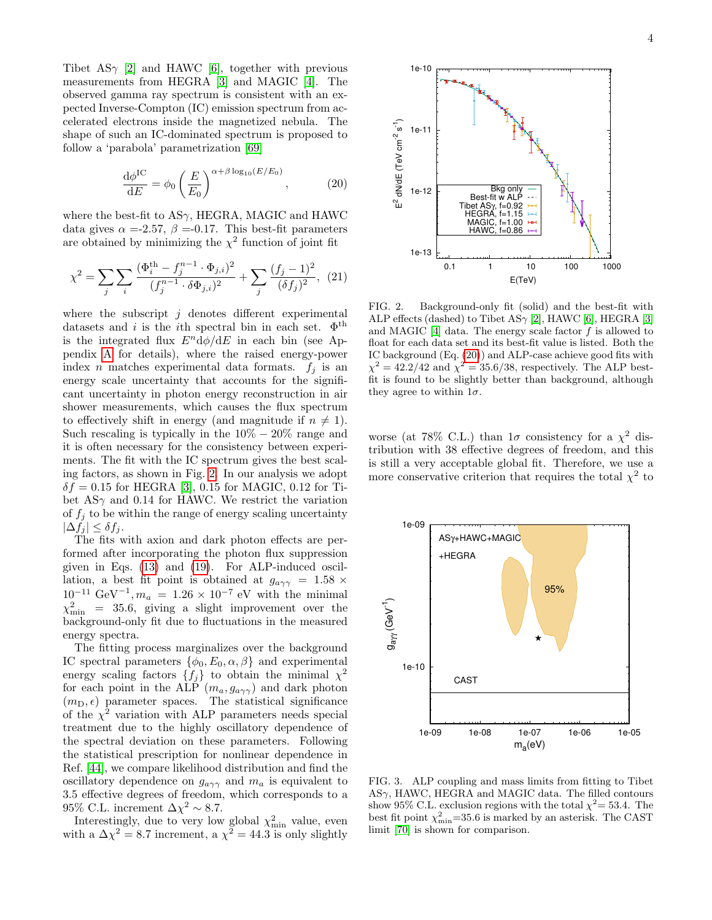Tibet AS $\gamma$  [\[2\]](#page-4-1) and HAWC [\[6\]](#page-5-2), together with previous measurements from HEGRA [\[3\]](#page-4-2) and MAGIC [\[4\]](#page-5-0). The observed gamma ray spectrum is consistent with an expected Inverse-Compton (IC) emission spectrum from accelerated electrons inside the magnetized nebula. The shape of such an IC-dominated spectrum is proposed to follow a 'parabola' parametrization [\[69\]](#page-6-16)

<span id="page-3-1"></span>
$$
\frac{\mathrm{d}\phi^{\mathrm{IC}}}{\mathrm{d}E} = \phi_0 \left(\frac{E}{E_0}\right)^{\alpha + \beta \log_{10}(E/E_0)},\tag{20}
$$

where the best-fit to  $AS\gamma$ , HEGRA, MAGIC and HAWC data gives  $\alpha = -2.57$ ,  $\beta = -0.17$ . This best-fit parameters are obtained by minimizing the  $\chi^2$  function of joint fit

$$
\chi^2 = \sum_{j} \sum_{i} \frac{(\Phi_i^{\text{th}} - f_j^{n-1} \cdot \Phi_{j,i})^2}{(f_j^{n-1} \cdot \delta \Phi_{j,i})^2} + \sum_{j} \frac{(f_j - 1)^2}{(\delta f_j)^2}, \tag{21}
$$

where the subscript  $j$  denotes different experimental datasets and i is the i<sup>th</sup> spectral bin in each set.  $\Phi^{\text{th}}$ is the integrated flux  $E<sup>n</sup> d\phi/dE$  in each bin (see Appendix [A](#page-7-0) for details), where the raised energy-power index *n* matches experimental data formats.  $f_j$  is an energy scale uncertainty that accounts for the significant uncertainty in photon energy reconstruction in air shower measurements, which causes the flux spectrum to effectively shift in energy (and magnitude if  $n \neq 1$ ). Such rescaling is typically in the  $10\% - 20\%$  range and it is often necessary for the consistency between experiments. The fit with the IC spectrum gives the best scaling factors, as shown in Fig. [2.](#page-3-0) In our analysis we adopt  $\delta f = 0.15$  for HEGRA [\[3\]](#page-4-2), 0.15 for MAGIC, 0.12 for Tibet AS $\gamma$  and 0.14 for HAWC. We restrict the variation of  $f_i$  to be within the range of energy scaling uncertainty  $|\Delta f_i| \leq \delta f_i$ .

The fits with axion and dark photon effects are performed after incorporating the photon flux suppression given in Eqs. [\(13\)](#page-2-4) and [\(19\)](#page-2-5). For ALP-induced oscillation, a best fit point is obtained at  $g_{a\gamma\gamma} = 1.58 \times$  $10^{-11} \text{ GeV}^{-1}, m_a = 1.26 \times 10^{-7} \text{ eV}$  with the minimal  $\chi^2_{\rm min}$  = 35.6, giving a slight improvement over the background-only fit due to fluctuations in the measured energy spectra.

The fitting process marginalizes over the background IC spectral parameters  $\{\phi_0, E_0, \alpha, \beta\}$  and experimental energy scaling factors  $\{f_j\}$  to obtain the minimal  $\chi^2$ for each point in the ALP  $(m_a, g_{a\gamma\gamma})$  and dark photon  $(m_D, \epsilon)$  parameter spaces. The statistical significance of the  $\chi^2$  variation with ALP parameters needs special treatment due to the highly oscillatory dependence of the spectral deviation on these parameters. Following the statistical prescription for nonlinear dependence in Ref. [\[44\]](#page-6-17), we compare likelihood distribution and find the oscillatory dependence on  $g_{a\gamma\gamma}$  and  $m_a$  is equivalent to 3.5 effective degrees of freedom, which corresponds to a 95% C.L. increment  $\Delta \chi^2 \sim 8.7$ .

Interestingly, due to very low global  $\chi^2_{\rm min}$  value, even with a  $\Delta \chi^2 = 8.7$  increment, a  $\chi^2 = 44.3$  is only slightly



<span id="page-3-0"></span>FIG. 2. Background-only fit (solid) and the best-fit with ALP effects (dashed) to Tibet AS $\gamma$  [\[2\]](#page-4-1), HAWC [\[6\]](#page-5-2), HEGRA [\[3\]](#page-4-2) and MAGIC  $[4]$  data. The energy scale factor  $f$  is allowed to float for each data set and its best-fit value is listed. Both the IC background (Eq. [\(20\)](#page-3-1)) and ALP-case achieve good fits with  $\chi^2 = 42.2/42$  and  $\chi^2 = 35.6/38$ , respectively. The ALP bestfit is found to be slightly better than background, although they agree to within  $1\sigma$ .

worse (at 78% C.L.) than  $1\sigma$  consistency for a  $\chi^2$  distribution with 38 effective degrees of freedom, and this is still a very acceptable global fit. Therefore, we use a more conservative criterion that requires the total  $\chi^2$  to



<span id="page-3-2"></span>FIG. 3. ALP coupling and mass limits from fitting to Tibet  $AS\gamma$ , HAWC, HEGRA and MAGIC data. The filled contours show 95% C.L. exclusion regions with the total  $\chi^2 = 53.4$ . The best fit point  $\chi^2_{\text{min}}$ =35.6 is marked by an asterisk. The CAST limit [\[70\]](#page-7-1) is shown for comparison.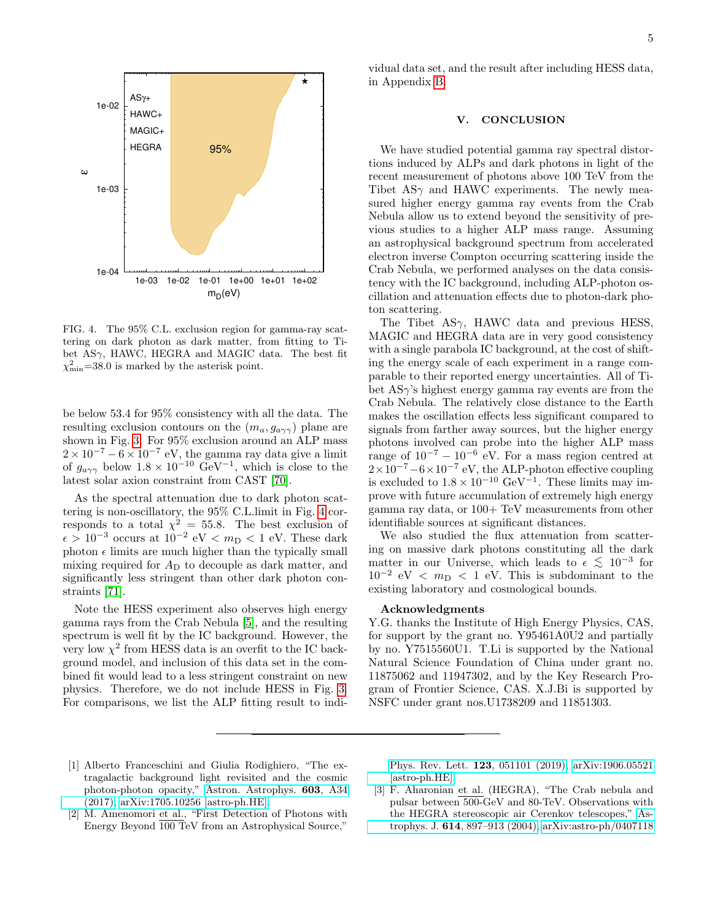

<span id="page-4-4"></span>FIG. 4. The 95% C.L. exclusion region for gamma-ray scattering on dark photon as dark matter, from fitting to Tibet  $AS\gamma$ , HAWC, HEGRA and MAGIC data. The best fit  $\chi^2_{\rm min}$ =38.0 is marked by the asterisk point.

be below 53.4 for 95% consistency with all the data. The resulting exclusion contours on the  $(m_a, g_{a\gamma\gamma})$  plane are shown in Fig. [3.](#page-3-2) For 95% exclusion around an ALP mass  $2 \times 10^{-7} - 6 \times 10^{-7}$  eV, the gamma ray data give a limit of  $g_{a\gamma\gamma}$  below  $1.8 \times 10^{-10}$  GeV<sup>-1</sup>, which is close to the latest solar axion constraint from CAST [\[70\]](#page-7-1).

As the spectral attenuation due to dark photon scattering is non-oscillatory, the 95% C.L.limit in Fig. [4](#page-4-4) corresponds to a total  $\chi^2 = 55.8$ . The best exclusion of  $\epsilon > 10^{-3}$  occurs at  $10^{-2}$  eV <  $m_{\rm D}$  < 1 eV. These dark photon  $\epsilon$  limits are much higher than the typically small mixing required for  $A<sub>D</sub>$  to decouple as dark matter, and significantly less stringent than other dark photon constraints [\[71\]](#page-7-2).

Note the HESS experiment also observes high energy gamma rays from the Crab Nebula [\[5\]](#page-5-1), and the resulting spectrum is well fit by the IC background. However, the very low  $\chi^2$  from HESS data is an overfit to the IC background model, and inclusion of this data set in the combined fit would lead to a less stringent constraint on new physics. Therefore, we do not include HESS in Fig. [3.](#page-3-2) For comparisons, we list the ALP fitting result to indi-

vidual data set, and the result after including HESS data, in Appendix [B.](#page-7-3)

### <span id="page-4-3"></span>V. CONCLUSION

We have studied potential gamma ray spectral distortions induced by ALPs and dark photons in light of the recent measurement of photons above 100 TeV from the Tibet  $AS_{\gamma}$  and HAWC experiments. The newly measured higher energy gamma ray events from the Crab Nebula allow us to extend beyond the sensitivity of previous studies to a higher ALP mass range. Assuming an astrophysical background spectrum from accelerated electron inverse Compton occurring scattering inside the Crab Nebula, we performed analyses on the data consistency with the IC background, including ALP-photon oscillation and attenuation effects due to photon-dark photon scattering.

The Tibet  $AS\gamma$ , HAWC data and previous HESS, MAGIC and HEGRA data are in very good consistency with a single parabola IC background, at the cost of shifting the energy scale of each experiment in a range comparable to their reported energy uncertainties. All of Tibet  $AS\gamma$ 's highest energy gamma ray events are from the Crab Nebula. The relatively close distance to the Earth makes the oscillation effects less significant compared to signals from farther away sources, but the higher energy photons involved can probe into the higher ALP mass range of  $10^{-7} - 10^{-6}$  eV. For a mass region centred at  $2\times10^{-7}$  –  $6\times10^{-7}$  eV, the ALP-photon effective coupling is excluded to  $1.8 \times 10^{-10} \text{ GeV}^{-1}$ . These limits may improve with future accumulation of extremely high energy gamma ray data, or 100+ TeV measurements from other identifiable sources at significant distances.

We also studied the flux attenuation from scattering on massive dark photons constituting all the dark matter in our Universe, which leads to  $\epsilon \lesssim 10^{-3}$  for  $10^{-2}$  eV <  $m_{\rm D}$  < 1 eV. This is subdominant to the existing laboratory and cosmological bounds.

#### Acknowledgments

Y.G. thanks the Institute of High Energy Physics, CAS, for support by the grant no. Y95461A0U2 and partially by no. Y7515560U1. T.Li is supported by the National Natural Science Foundation of China under grant no. 11875062 and 11947302, and by the Key Research Program of Frontier Science, CAS. X.J.Bi is supported by NSFC under grant nos.U1738209 and 11851303.

- <span id="page-4-0"></span>[1] Alberto Franceschini and Giulia Rodighiero, "The extragalactic background light revisited and the cosmic photon-photon opacity," [Astron. Astrophys.](http://dx.doi.org/10.1051/0004-6361/201629684) 603, A34  $(2017)$ , [arXiv:1705.10256 \[astro-ph.HE\].](http://arxiv.org/abs/1705.10256)
- <span id="page-4-1"></span>[2] M. Amenomori et al., "First Detection of Photons with Energy Beyond 100 TeV from an Astrophysical Source,"

[Phys. Rev. Lett.](http://dx.doi.org/10.1103/PhysRevLett.123.051101) 123, 051101 (2019), [arXiv:1906.05521](http://arxiv.org/abs/1906.05521) [\[astro-ph.HE\].](http://arxiv.org/abs/1906.05521)

<span id="page-4-2"></span>[3] F. Aharonian et al. (HEGRA), "The Crab nebula and pulsar between 500-GeV and 80-TeV. Observations with the HEGRA stereoscopic air Cerenkov telescopes," [As](http://dx.doi.org/10.1086/423931)trophys. J. 614[, 897–913 \(2004\),](http://dx.doi.org/10.1086/423931) [arXiv:astro-ph/0407118](http://arxiv.org/abs/astro-ph/0407118)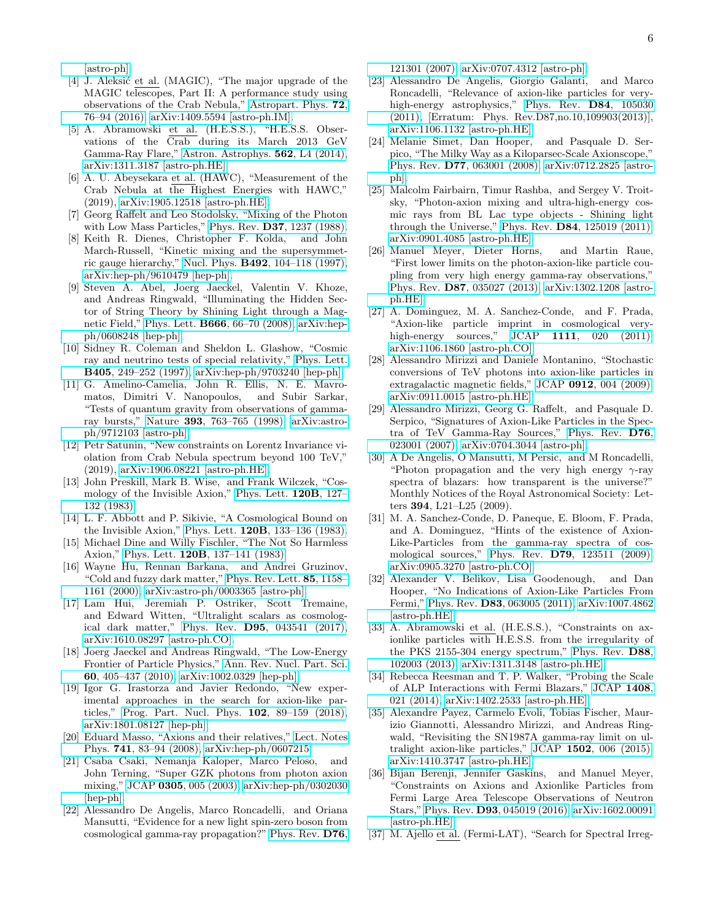[\[astro-ph\].](http://arxiv.org/abs/astro-ph/0407118)

- <span id="page-5-0"></span>[4] J. Aleksić et al. (MAGIC), "The major upgrade of the MAGIC telescopes, Part II: A performance study using observations of the Crab Nebula," [Astropart. Phys.](http://dx.doi.org/10.1016/j.astropartphys.2015.02.005) 72, [76–94 \(2016\),](http://dx.doi.org/10.1016/j.astropartphys.2015.02.005) [arXiv:1409.5594 \[astro-ph.IM\].](http://arxiv.org/abs/1409.5594)
- <span id="page-5-1"></span>[5] A. Abramowski et al. (H.E.S.S.), "H.E.S.S. Observations of the Crab during its March 2013 GeV Gamma-Ray Flare," [Astron. Astrophys.](http://dx.doi.org/ 10.1051/0004-6361/201323013) 562, L4 (2014), [arXiv:1311.3187 \[astro-ph.HE\].](http://arxiv.org/abs/1311.3187)
- <span id="page-5-2"></span>[6] A. U. Abeysekara et al. (HAWC), "Measurement of the Crab Nebula at the Highest Energies with HAWC," (2019), [arXiv:1905.12518 \[astro-ph.HE\].](http://arxiv.org/abs/1905.12518)
- <span id="page-5-3"></span>[7] Georg Raffelt and Leo Stodolsky, "Mixing of the Photon with Low Mass Particles," Phys. Rev. **D37**[, 1237 \(1988\).](http://dx.doi.org/ 10.1103/PhysRevD.37.1237)
- <span id="page-5-4"></span>[8] Keith R. Dienes, Christopher F. Kolda, and John March-Russell, "Kinetic mixing and the supersymmetric gauge hierarchy," Nucl. Phys. B492[, 104–118 \(1997\),](http://dx.doi.org/10.1016/S0550-3213(97)80028-4, 10.1016/S0550-3213(97)00173-9) [arXiv:hep-ph/9610479 \[hep-ph\].](http://arxiv.org/abs/hep-ph/9610479)
- <span id="page-5-5"></span>[9] Steven A. Abel, Joerg Jaeckel, Valentin V. Khoze, and Andreas Ringwald, "Illuminating the Hidden Sector of String Theory by Shining Light through a Magnetic Field," Phys. Lett. B666[, 66–70 \(2008\),](http://dx.doi.org/10.1016/j.physletb.2008.03.076) [arXiv:hep](http://arxiv.org/abs/hep-ph/0608248)[ph/0608248 \[hep-ph\].](http://arxiv.org/abs/hep-ph/0608248)
- <span id="page-5-6"></span>[10] Sidney R. Coleman and Sheldon L. Glashow, "Cosmic ray and neutrino tests of special relativity," [Phys. Lett.](http://dx.doi.org/ 10.1016/S0370-2693(97)00638-2) B405[, 249–252 \(1997\),](http://dx.doi.org/ 10.1016/S0370-2693(97)00638-2) [arXiv:hep-ph/9703240 \[hep-ph\].](http://arxiv.org/abs/hep-ph/9703240)
- <span id="page-5-7"></span>[11] G. Amelino-Camelia, John R. Ellis, N. E. Mavromatos, Dimitri V. Nanopoulos, and Subir Sarkar, "Tests of quantum gravity from observations of gammaray bursts," Nature 393[, 763–765 \(1998\),](http://dx.doi.org/ 10.1038/31647) [arXiv:astro](http://arxiv.org/abs/astro-ph/9712103)[ph/9712103 \[astro-ph\].](http://arxiv.org/abs/astro-ph/9712103)
- <span id="page-5-8"></span>[12] Petr Satunin, "New constraints on Lorentz Invariance violation from Crab Nebula spectrum beyond 100 TeV," (2019), [arXiv:1906.08221 \[astro-ph.HE\].](http://arxiv.org/abs/1906.08221)
- <span id="page-5-9"></span>[13] John Preskill, Mark B. Wise, and Frank Wilczek, "Cosmology of the Invisible Axion," [Phys. Lett.](http://dx.doi.org/10.1016/0370-2693(83)90637-8) 120B, 127– [132 \(1983\).](http://dx.doi.org/10.1016/0370-2693(83)90637-8)
- [14] L. F. Abbott and P. Sikivie, "A Cosmological Bound on the Invisible Axion," Phys. Lett. 120B[, 133–136 \(1983\).](http://dx.doi.org/ 10.1016/0370-2693(83)90638-X)
- <span id="page-5-10"></span>[15] Michael Dine and Willy Fischler, "The Not So Harmless Axion," Phys. Lett. 120B[, 137–141 \(1983\).](http://dx.doi.org/10.1016/0370-2693(83)90639-1)
- <span id="page-5-11"></span>[16] Wayne Hu, Rennan Barkana, and Andrei Gruzinov, "Cold and fuzzy dark matter," [Phys. Rev. Lett.](http://dx.doi.org/10.1103/PhysRevLett.85.1158) 85, 1158– [1161 \(2000\),](http://dx.doi.org/10.1103/PhysRevLett.85.1158) [arXiv:astro-ph/0003365 \[astro-ph\].](http://arxiv.org/abs/astro-ph/0003365)
- <span id="page-5-12"></span>[17] Lam Hui, Jeremiah P. Ostriker, Scott Tremaine, and Edward Witten, "Ultralight scalars as cosmological dark matter," Phys. Rev. D95[, 043541 \(2017\),](http://dx.doi.org/ 10.1103/PhysRevD.95.043541) [arXiv:1610.08297 \[astro-ph.CO\].](http://arxiv.org/abs/1610.08297)
- <span id="page-5-13"></span>[18] Joerg Jaeckel and Andreas Ringwald, "The Low-Energy Frontier of Particle Physics," [Ann. Rev. Nucl. Part. Sci.](http://dx.doi.org/ 10.1146/annurev.nucl.012809.104433) 60[, 405–437 \(2010\),](http://dx.doi.org/ 10.1146/annurev.nucl.012809.104433) [arXiv:1002.0329 \[hep-ph\].](http://arxiv.org/abs/1002.0329)
- <span id="page-5-14"></span>[19] Igor G. Irastorza and Javier Redondo, "New experimental approaches in the search for axion-like particles," [Prog. Part. Nucl. Phys.](http://dx.doi.org/10.1016/j.ppnp.2018.05.003) 102, 89–159 (2018), [arXiv:1801.08127 \[hep-ph\].](http://arxiv.org/abs/1801.08127)
- <span id="page-5-15"></span>[20] Eduard Masso, "Axions and their relatives," [Lect. Notes](http://dx.doi.org/10.1007/978-3-540-73518-2_5) Phys. 741[, 83–94 \(2008\),](http://dx.doi.org/10.1007/978-3-540-73518-2_5) [arXiv:hep-ph/0607215.](http://arxiv.org/abs/hep-ph/0607215)
- <span id="page-5-16"></span>[21] Csaba Csaki, Nemanja Kaloper, Marco Peloso, and John Terning, "Super GZK photons from photon axion mixing," JCAP 0305[, 005 \(2003\),](http://dx.doi.org/10.1088/1475-7516/2003/05/005) [arXiv:hep-ph/0302030](http://arxiv.org/abs/hep-ph/0302030) [\[hep-ph\].](http://arxiv.org/abs/hep-ph/0302030)
- [22] Alessandro De Angelis, Marco Roncadelli, and Oriana Mansutti, "Evidence for a new light spin-zero boson from cosmological gamma-ray propagation?" [Phys. Rev.](http://dx.doi.org/10.1103/PhysRevD.76.121301) D76,

[121301 \(2007\),](http://dx.doi.org/10.1103/PhysRevD.76.121301) [arXiv:0707.4312 \[astro-ph\].](http://arxiv.org/abs/0707.4312)

- <span id="page-5-17"></span>[23] Alessandro De Angelis, Giorgio Galanti, and Marco Roncadelli, "Relevance of axion-like particles for very-high-energy astrophysics," [Phys. Rev.](http://dx.doi.org/10.1103/PhysRevD.87.109903, 10.1103/PhysRevD.84.105030) **D84**, 105030 [\(2011\),](http://dx.doi.org/10.1103/PhysRevD.87.109903, 10.1103/PhysRevD.84.105030) [Erratum: Phys. Rev.D87,no.10,109903(2013)], [arXiv:1106.1132 \[astro-ph.HE\].](http://arxiv.org/abs/1106.1132)
- [24] Melanie Simet, Dan Hooper, and Pasquale D. Serpico, "The Milky Way as a Kiloparsec-Scale Axionscope," Phys. Rev. D77[, 063001 \(2008\),](http://dx.doi.org/ 10.1103/PhysRevD.77.063001) [arXiv:0712.2825 \[astro](http://arxiv.org/abs/0712.2825)[ph\].](http://arxiv.org/abs/0712.2825)
- [25] Malcolm Fairbairn, Timur Rashba, and Sergey V. Troitsky, "Photon-axion mixing and ultra-high-energy cosmic rays from BL Lac type objects - Shining light through the Universe," Phys. Rev. D84[, 125019 \(2011\),](http://dx.doi.org/10.1103/PhysRevD.84.125019) [arXiv:0901.4085 \[astro-ph.HE\].](http://arxiv.org/abs/0901.4085)
- [26] Manuel Meyer, Dieter Horns, and Martin Raue, "First lower limits on the photon-axion-like particle coupling from very high energy gamma-ray observations," Phys. Rev. D87[, 035027 \(2013\),](http://dx.doi.org/10.1103/PhysRevD.87.035027) [arXiv:1302.1208 \[astro](http://arxiv.org/abs/1302.1208)[ph.HE\].](http://arxiv.org/abs/1302.1208)
- [27] A. Dominguez, M. A. Sanchez-Conde, and F. Prada, "Axion-like particle imprint in cosmological very-high-energy sources," JCAP 1111[, 020 \(2011\),](http://dx.doi.org/10.1088/1475-7516/2011/11/020) [arXiv:1106.1860 \[astro-ph.CO\].](http://arxiv.org/abs/1106.1860)
- <span id="page-5-18"></span>[28] Alessandro Mirizzi and Daniele Montanino, "Stochastic conversions of TeV photons into axion-like particles in extragalactic magnetic fields," JCAP 0912[, 004 \(2009\),](http://dx.doi.org/ 10.1088/1475-7516/2009/12/004) [arXiv:0911.0015 \[astro-ph.HE\].](http://arxiv.org/abs/0911.0015)
- [29] Alessandro Mirizzi, Georg G. Raffelt, and Pasquale D. Serpico, "Signatures of Axion-Like Particles in the Spectra of TeV Gamma-Ray Sources," [Phys. Rev.](http://dx.doi.org/10.1103/PhysRevD.76.023001) D76, [023001 \(2007\),](http://dx.doi.org/10.1103/PhysRevD.76.023001) [arXiv:0704.3044 \[astro-ph\].](http://arxiv.org/abs/0704.3044)
- [30] A De Angelis, O Mansutti, M Persic, and M Roncadelli, "Photon propagation and the very high energy  $\gamma$ -ray" spectra of blazars: how transparent is the universe?" Monthly Notices of the Royal Astronomical Society: Letters 394, L21–L25 (2009).
- [31] M. A. Sanchez-Conde, D. Paneque, E. Bloom, F. Prada, and A. Dominguez, "Hints of the existence of Axion-Like-Particles from the gamma-ray spectra of cosmological sources," Phys. Rev. D79[, 123511 \(2009\),](http://dx.doi.org/ 10.1103/PhysRevD.79.123511) [arXiv:0905.3270 \[astro-ph.CO\].](http://arxiv.org/abs/0905.3270)
- [32] Alexander V. Belikov, Lisa Goodenough, and Dan Hooper, "No Indications of Axion-Like Particles From Fermi," Phys. Rev. D83[, 063005 \(2011\),](http://dx.doi.org/ 10.1103/PhysRevD.83.063005) [arXiv:1007.4862](http://arxiv.org/abs/1007.4862) [\[astro-ph.HE\].](http://arxiv.org/abs/1007.4862)
- [33] A. Abramowski et al. (H.E.S.S.), "Constraints on axionlike particles with H.E.S.S. from the irregularity of the PKS 2155-304 energy spectrum," [Phys. Rev.](http://dx.doi.org/10.1103/PhysRevD.88.102003) D88, [102003 \(2013\),](http://dx.doi.org/10.1103/PhysRevD.88.102003) [arXiv:1311.3148 \[astro-ph.HE\].](http://arxiv.org/abs/1311.3148)
- [34] Rebecca Reesman and T. P. Walker, "Probing the Scale of ALP Interactions with Fermi Blazars," [JCAP](http://dx.doi.org/ 10.1088/1475-7516/2014/08/021) 1408, [021 \(2014\),](http://dx.doi.org/ 10.1088/1475-7516/2014/08/021) [arXiv:1402.2533 \[astro-ph.HE\].](http://arxiv.org/abs/1402.2533)
- [35] Alexandre Payez, Carmelo Evoli, Tobias Fischer, Maurizio Giannotti, Alessandro Mirizzi, and Andreas Ringwald, "Revisiting the SN1987A gamma-ray limit on ultralight axion-like particles," JCAP 1502[, 006 \(2015\),](http://dx.doi.org/10.1088/1475-7516/2015/02/006) [arXiv:1410.3747 \[astro-ph.HE\].](http://arxiv.org/abs/1410.3747)
- [36] Bijan Berenji, Jennifer Gaskins, and Manuel Meyer, "Constraints on Axions and Axionlike Particles from Fermi Large Area Telescope Observations of Neutron Stars," Phys. Rev. D93[, 045019 \(2016\),](http://dx.doi.org/10.1103/PhysRevD.93.045019) [arXiv:1602.00091](http://arxiv.org/abs/1602.00091) [\[astro-ph.HE\].](http://arxiv.org/abs/1602.00091)
- [37] M. Ajello et al. (Fermi-LAT), "Search for Spectral Irreg-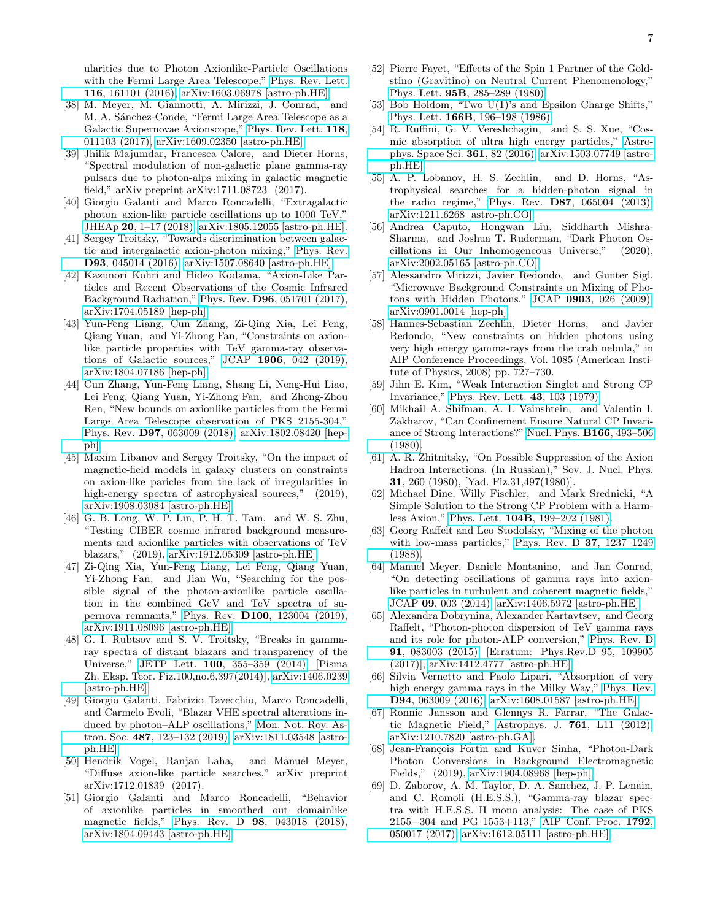ularities due to Photon–Axionlike-Particle Oscillations with the Fermi Large Area Telescope," [Phys. Rev. Lett.](http://dx.doi.org/10.1103/PhysRevLett.116.161101) 116[, 161101 \(2016\),](http://dx.doi.org/10.1103/PhysRevLett.116.161101) [arXiv:1603.06978 \[astro-ph.HE\].](http://arxiv.org/abs/1603.06978)

- [38] M. Meyer, M. Giannotti, A. Mirizzi, J. Conrad, and M. A. Sánchez-Conde, "Fermi Large Area Telescope as a Galactic Supernovae Axionscope," [Phys. Rev. Lett.](http://dx.doi.org/10.1103/PhysRevLett.118.011103) 118, [011103 \(2017\),](http://dx.doi.org/10.1103/PhysRevLett.118.011103) [arXiv:1609.02350 \[astro-ph.HE\].](http://arxiv.org/abs/1609.02350)
- [39] Jhilik Majumdar, Francesca Calore, and Dieter Horns, "Spectral modulation of non-galactic plane gamma-ray pulsars due to photon-alps mixing in galactic magnetic field," arXiv preprint arXiv:1711.08723 (2017).
- [40] Giorgio Galanti and Marco Roncadelli, "Extragalactic photon–axion-like particle oscillations up to 1000 TeV," JHEAp 20[, 1–17 \(2018\),](http://dx.doi.org/10.1016/j.jheap.2018.07.002) [arXiv:1805.12055 \[astro-ph.HE\].](http://arxiv.org/abs/1805.12055)
- [41] Sergey Troitsky, "Towards discrimination between galactic and intergalactic axion-photon mixing," [Phys. Rev.](http://dx.doi.org/10.1103/PhysRevD.93.045014) D93[, 045014 \(2016\),](http://dx.doi.org/10.1103/PhysRevD.93.045014) [arXiv:1507.08640 \[astro-ph.HE\].](http://arxiv.org/abs/1507.08640)
- [42] Kazunori Kohri and Hideo Kodama, "Axion-Like Particles and Recent Observations of the Cosmic Infrared Background Radiation," Phys. Rev. D96[, 051701 \(2017\),](http://dx.doi.org/10.1103/PhysRevD.96.051701) [arXiv:1704.05189 \[hep-ph\].](http://arxiv.org/abs/1704.05189)
- [43] Yun-Feng Liang, Cun Zhang, Zi-Qing Xia, Lei Feng, Qiang Yuan, and Yi-Zhong Fan, "Constraints on axionlike particle properties with TeV gamma-ray observations of Galactic sources," JCAP 1906[, 042 \(2019\),](http://dx.doi.org/ 10.1088/1475-7516/2019/06/042) [arXiv:1804.07186 \[hep-ph\].](http://arxiv.org/abs/1804.07186)
- <span id="page-6-17"></span>[44] Cun Zhang, Yun-Feng Liang, Shang Li, Neng-Hui Liao, Lei Feng, Qiang Yuan, Yi-Zhong Fan, and Zhong-Zhou Ren, "New bounds on axionlike particles from the Fermi Large Area Telescope observation of PKS 2155-304," Phys. Rev. D97[, 063009 \(2018\),](http://dx.doi.org/10.1103/PhysRevD.97.063009) [arXiv:1802.08420 \[hep](http://arxiv.org/abs/1802.08420)[ph\].](http://arxiv.org/abs/1802.08420)
- [45] Maxim Libanov and Sergey Troitsky, "On the impact of magnetic-field models in galaxy clusters on constraints on axion-like paricles from the lack of irregularities in high-energy spectra of astrophysical sources," (2019), [arXiv:1908.03084 \[astro-ph.HE\].](http://arxiv.org/abs/1908.03084)
- [46] G. B. Long, W. P. Lin, P. H. T. Tam, and W. S. Zhu, "Testing CIBER cosmic infrared background measurements and axionlike particles with observations of TeV blazars," (2019), [arXiv:1912.05309 \[astro-ph.HE\].](http://arxiv.org/abs/1912.05309)
- [47] Zi-Qing Xia, Yun-Feng Liang, Lei Feng, Qiang Yuan, Yi-Zhong Fan, and Jian Wu, "Searching for the possible signal of the photon-axionlike particle oscillation in the combined GeV and TeV spectra of supernova remnants," Phys. Rev. D100[, 123004 \(2019\),](http://dx.doi.org/10.1103/PhysRevD.100.123004) [arXiv:1911.08096 \[astro-ph.HE\].](http://arxiv.org/abs/1911.08096)
- [48] G. I. Rubtsov and S. V. Troitsky, "Breaks in gammaray spectra of distant blazars and transparency of the Universe," JETP Lett. 100[, 355–359 \(2014\),](http://dx.doi.org/10.7868/S0370274X14180015, 10.1134/S0021364014180088) [Pisma Zh. Eksp. Teor. Fiz.100,no.6,397(2014)], [arXiv:1406.0239](http://arxiv.org/abs/1406.0239) [\[astro-ph.HE\].](http://arxiv.org/abs/1406.0239)
- [49] Giorgio Galanti, Fabrizio Tavecchio, Marco Roncadelli, and Carmelo Evoli, "Blazar VHE spectral alterations induced by photon–ALP oscillations," [Mon. Not. Roy. As](http://dx.doi.org/10.1093/mnras/stz1144)tron. Soc. 487[, 123–132 \(2019\),](http://dx.doi.org/10.1093/mnras/stz1144) [arXiv:1811.03548 \[astro](http://arxiv.org/abs/1811.03548)[ph.HE\].](http://arxiv.org/abs/1811.03548)
- [50] Hendrik Vogel, Ranjan Laha, and Manuel Meyer, "Diffuse axion-like particle searches," arXiv preprint arXiv:1712.01839 (2017).
- <span id="page-6-0"></span>[51] Giorgio Galanti and Marco Roncadelli, "Behavior of axionlike particles in smoothed out domainlike magnetic fields," Phys. Rev. D 98[, 043018 \(2018\),](http://dx.doi.org/10.1103/PhysRevD.98.043018) [arXiv:1804.09443 \[astro-ph.HE\].](http://arxiv.org/abs/1804.09443)
- <span id="page-6-1"></span>[52] Pierre Fayet, "Effects of the Spin 1 Partner of the Goldstino (Gravitino) on Neutral Current Phenomenology," Phys. Lett. 95B[, 285–289 \(1980\).](http://dx.doi.org/10.1016/0370-2693(80)90488-8)
- <span id="page-6-2"></span>[53] Bob Holdom, "Two U(1)'s and Epsilon Charge Shifts," Phys. Lett. 166B[, 196–198 \(1986\).](http://dx.doi.org/10.1016/0370-2693(86)91377-8)
- <span id="page-6-3"></span>[54] R. Ruffini, G. V. Vereshchagin, and S. S. Xue, "Cosmic absorption of ultra high energy particles," [Astro](http://dx.doi.org/ 10.1007/s10509-016-2668-5)[phys. Space Sci.](http://dx.doi.org/ 10.1007/s10509-016-2668-5) 361, 82 (2016), [arXiv:1503.07749 \[astro](http://arxiv.org/abs/1503.07749)[ph.HE\].](http://arxiv.org/abs/1503.07749)
- <span id="page-6-4"></span>[55] A. P. Lobanov, H. S. Zechlin, and D. Horns, "Astrophysical searches for a hidden-photon signal in the radio regime," Phys. Rev. D87[, 065004 \(2013\),](http://dx.doi.org/ 10.1103/PhysRevD.87.065004) [arXiv:1211.6268 \[astro-ph.CO\].](http://arxiv.org/abs/1211.6268)
- [56] Andrea Caputo, Hongwan Liu, Siddharth Mishra-Sharma, and Joshua T. Ruderman, "Dark Photon Oscillations in Our Inhomogeneous Universe," (2020), [arXiv:2002.05165 \[astro-ph.CO\].](http://arxiv.org/abs/2002.05165)
- [57] Alessandro Mirizzi, Javier Redondo, and Gunter Sigl, "Microwave Background Constraints on Mixing of Photons with Hidden Photons," JCAP 0903[, 026 \(2009\),](http://dx.doi.org/10.1088/1475-7516/2009/03/026) [arXiv:0901.0014 \[hep-ph\].](http://arxiv.org/abs/0901.0014)
- <span id="page-6-5"></span>[58] Hannes-Sebastian Zechlin, Dieter Horns, and Javier Redondo, "New constraints on hidden photons using very high energy gamma-rays from the crab nebula," in AIP Conference Proceedings, Vol. 1085 (American Institute of Physics,  $2008)$  pp. 727–730.
- <span id="page-6-6"></span>[59] Jihn E. Kim, "Weak Interaction Singlet and Strong CP Invariance," [Phys. Rev. Lett.](http://dx.doi.org/ 10.1103/PhysRevLett.43.103) 43, 103 (1979).
- <span id="page-6-7"></span>[60] Mikhail A. Shifman, A. I. Vainshtein, and Valentin I. Zakharov, "Can Confinement Ensure Natural CP Invariance of Strong Interactions?" [Nucl. Phys.](http://dx.doi.org/10.1016/0550-3213(80)90209-6) B166, 493–506 [\(1980\).](http://dx.doi.org/10.1016/0550-3213(80)90209-6)
- <span id="page-6-8"></span>[61] A. R. Zhitnitsky, "On Possible Suppression of the Axion Hadron Interactions. (In Russian)," Sov. J. Nucl. Phys. 31, 260 (1980), [Yad. Fiz.31,497(1980)].
- <span id="page-6-9"></span>[62] Michael Dine, Willy Fischler, and Mark Srednicki, "A Simple Solution to the Strong CP Problem with a Harmless Axion," Phys. Lett. 104B[, 199–202 \(1981\).](http://dx.doi.org/ 10.1016/0370-2693(81)90590-6)
- <span id="page-6-10"></span>[63] Georg Raffelt and Leo Stodolsky, "Mixing of the photon with low-mass particles," [Phys. Rev. D](http://dx.doi.org/10.1103/PhysRevD.37.1237) 37, 1237–1249 [\(1988\).](http://dx.doi.org/10.1103/PhysRevD.37.1237)
- <span id="page-6-11"></span>[64] Manuel Meyer, Daniele Montanino, and Jan Conrad, "On detecting oscillations of gamma rays into axionlike particles in turbulent and coherent magnetic fields," JCAP 09[, 003 \(2014\),](http://dx.doi.org/10.1088/1475-7516/2014/09/003) [arXiv:1406.5972 \[astro-ph.HE\].](http://arxiv.org/abs/1406.5972)
- <span id="page-6-12"></span>[65] Alexandra Dobrynina, Alexander Kartavtsev, and Georg Raffelt, "Photon-photon dispersion of TeV gamma rays and its role for photon-ALP conversion," [Phys. Rev. D](http://dx.doi.org/10.1103/PhysRevD.91.083003) 91[, 083003 \(2015\),](http://dx.doi.org/10.1103/PhysRevD.91.083003) [Erratum: Phys.Rev.D 95, 109905 (2017)], [arXiv:1412.4777 \[astro-ph.HE\].](http://arxiv.org/abs/1412.4777)
- <span id="page-6-13"></span>[66] Silvia Vernetto and Paolo Lipari, "Absorption of very high energy gamma rays in the Milky Way," [Phys. Rev.](http://dx.doi.org/ 10.1103/PhysRevD.94.063009) D94[, 063009 \(2016\),](http://dx.doi.org/ 10.1103/PhysRevD.94.063009) [arXiv:1608.01587 \[astro-ph.HE\].](http://arxiv.org/abs/1608.01587)
- <span id="page-6-14"></span>[67] Ronnie Jansson and Glennys R. Farrar, "The Galactic Magnetic Field," [Astrophys. J.](http://dx.doi.org/10.1088/2041-8205/761/1/L11) 761, L11 (2012), [arXiv:1210.7820 \[astro-ph.GA\].](http://arxiv.org/abs/1210.7820)
- <span id="page-6-15"></span>[68] Jean-François Fortin and Kuver Sinha, "Photon-Dark Photon Conversions in Background Electromagnetic Fields," (2019), [arXiv:1904.08968 \[hep-ph\].](http://arxiv.org/abs/1904.08968)
- <span id="page-6-16"></span>[69] D. Zaborov, A. M. Taylor, D. A. Sanchez, J. P. Lenain, and C. Romoli (H.E.S.S.), "Gamma-ray blazar spectra with H.E.S.S. II mono analysis: The case of PKS 2155−304 and PG 1553+113," [AIP Conf. Proc.](http://dx.doi.org/ 10.1063/1.4968963) 1792, [050017 \(2017\),](http://dx.doi.org/ 10.1063/1.4968963) [arXiv:1612.05111 \[astro-ph.HE\].](http://arxiv.org/abs/1612.05111)